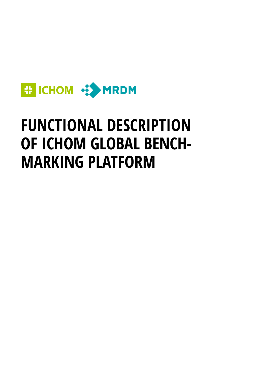

# **FUNCTIONAL DESCRIPTION OF ICHOM GLOBAL BENCH-MARKING PLATFORM**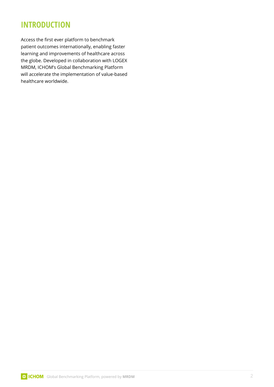# **INTRODUCTION**

Access the first ever platform to benchmark patient outcomes internationally, enabling faster learning and improvements of healthcare across the globe. Developed in collaboration with LOGEX MRDM, ICHOM's Global Benchmarking Platform will accelerate the implementation of value-based healthcare worldwide.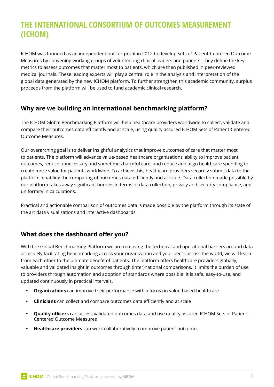# **THE INTERNATIONAL CONSORTIUM OF OUTCOMES MEASUREMENT (ICHOM)**

ICHOM was founded as an independent not-for-profit in 2012 to develop Sets of Patient-Centered Outcome Measures by convening working groups of volunteering clinical leaders and patients. They define the key metrics to assess outcomes that matter most to patients, which are then published in peer-reviewed medical journals. These leading experts will play a central role in the analysis and interpretation of the global data generated by the new ICHOM platform. To further strengthen this academic community, surplus proceeds from the platform will be used to fund academic clinical research.

# **Why are we building an international benchmarking platform?**

The ICHOM Global Benchmarking Platform will help healthcare providers worldwide to collect, validate and compare their outcomes data efficiently and at scale, using quality assured ICHOM Sets of Patient-Centered Outcome Measures.

Our overarching goal is to deliver insightful analytics that improve outcomes of care that matter most to patients. The platform will advance value-based healthcare organizations' ability to improve patient outcomes, reduce unnecessary and sometimes harmful care, and reduce and align healthcare spending to create more value for patients worldwide. To achieve this, healthcare providers securely submit data to the platform, enabling the comparing of outcomes data efficiently and at scale. Data collection made possible by our platform takes away significant hurdles in terms of data collection, privacy and security compliance, and uniformity in calculations.

Practical and actionable comparison of outcomes data is made possible by the platform through its state of the art data visualizations and interactive dashboards.

# **What does the dashboard offer you?**

With the Global Benchmarking Platform we are removing the technical and operational barriers around data access. By facilitating benchmarking across your organization and your peers across the world, we will learn from each other to the ultimate benefit of patients. The platform offers healthcare providers globally, valuable and validated insight in outcomes through (inter)national comparisons. It limits the burden of use to providers through automation and adoption of standards where possible. It is safe, easy-to-use, and updated continuously in practical intervals.

- **Organizations** can improve their performance with a focus on value-based healthcare
- **Clinicians** can collect and compare outcomes data efficiently and at scale
- **• Quality officers** can access validated outcomes data and use quality assured ICHOM Sets of Patient-Centered Outcome Measures
- **Healthcare providers** can work collaboratively to improve patient outcomes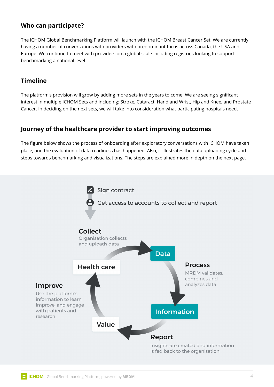# **Who can participate?**

The ICHOM Global Benchmarking Platform will launch with the ICHOM Breast Cancer Set. We are currently having a number of conversations with providers with predominant focus across Canada, the USA and Europe. We continue to meet with providers on a global scale including registries looking to support benchmarking a national level.

## **Timeline**

The platform's provision will grow by adding more sets in the years to come. We are seeing significant interest in multiple ICHOM Sets and including: Stroke, Cataract, Hand and Wrist, Hip and Knee, and Prostate Cancer. In deciding on the next sets, we will take into consideration what participating hospitals need.

## **Journey of the healthcare provider to start improving outcomes**

The figure below shows the process of onboarding after exploratory conversations with ICHOM have taken place, and the evaluation of data readiness has happened. Also, it illustrates the data uploading cycle and steps towards benchmarking and visualizations. The steps are explained more in depth on the next page.

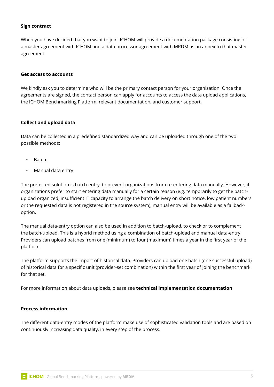#### **Sign contract**

When you have decided that you want to join, ICHOM will provide a documentation package consisting of a master agreement with ICHOM and a data processor agreement with MRDM as an annex to that master agreement.

#### **Get access to accounts**

We kindly ask you to determine who will be the primary contact person for your organization. Once the agreements are signed, the contact person can apply for accounts to access the data upload applications, the ICHOM Benchmarking Platform, relevant documentation, and customer support.

#### **Collect and upload data**

Data can be collected in a predefined standardized way and can be uploaded through one of the two possible methods:

- Batch
- Manual data entry

The preferred solution is batch-entry, to prevent organizations from re-entering data manually. However, if organizations prefer to start entering data manually for a certain reason (e.g. temporarily to get the batchupload organized, insufficient IT capacity to arrange the batch delivery on short notice, low patient numbers or the requested data is not registered in the source system), manual entry will be available as a fallbackoption.  

The manual data-entry option can also be used in addition to batch-upload, to check or to complement the batch-upload. This is a hybrid method using a combination of batch-upload and manual data-entry.   Providers can upload batches from one (minimum) to four (maximum) times a year in the first year of the platform.

The platform supports the import of historical data. Providers can upload one batch (one successful upload) of historical data for a specific unit (provider-set combination) within the first year of joining the benchmark for that set.

For more information about data uploads, please see **technical implementation documentation** 

#### **Process information**

The different data-entry modes of the platform make use of sophisticated validation tools and are based on continuously increasing data quality, in every step of the process.